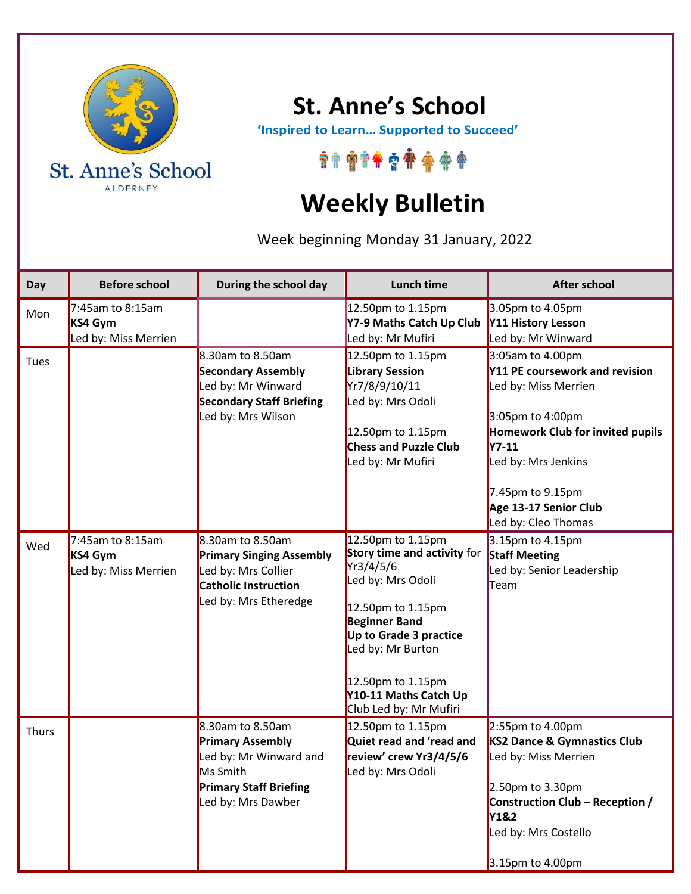

## **St. Anne's School**

 **'Inspired to Learn… Supported to Succeed'**

## \*\*\*\*\*\*\*\*\*\*

## **Weekly Bulletin**

Week beginning Monday 31 January, 2022

| Day   | <b>Before school</b>                                | During the school day                                                                                                                    | <b>Lunch time</b>                                                                                                                                                                                                                                      | <b>After school</b>                                                                                                                                                                                                                                  |
|-------|-----------------------------------------------------|------------------------------------------------------------------------------------------------------------------------------------------|--------------------------------------------------------------------------------------------------------------------------------------------------------------------------------------------------------------------------------------------------------|------------------------------------------------------------------------------------------------------------------------------------------------------------------------------------------------------------------------------------------------------|
| Mon   | 7:45am to 8:15am<br>KS4 Gym<br>Led by: Miss Merrien |                                                                                                                                          | 12.50pm to 1.15pm<br>Y7-9 Maths Catch Up Club<br>Led by: Mr Mufiri                                                                                                                                                                                     | 3.05pm to 4.05pm<br>Y11 History Lesson<br>Led by: Mr Winward                                                                                                                                                                                         |
| Tues  |                                                     | 8.30am to 8.50am<br><b>Secondary Assembly</b><br>Led by: Mr Winward<br><b>Secondary Staff Briefing</b><br>Led by: Mrs Wilson             | 12.50pm to 1.15pm<br><b>Library Session</b><br>Yr7/8/9/10/11<br>Led by: Mrs Odoli<br>12.50pm to 1.15pm<br><b>Chess and Puzzle Club</b><br>Led by: Mr Mufiri                                                                                            | 3:05am to 4.00pm<br>Y11 PE coursework and revision<br>Led by: Miss Merrien<br>3:05pm to 4:00pm<br><b>Homework Club for invited pupils</b><br><b>Y7-11</b><br>Led by: Mrs Jenkins<br>7.45pm to 9.15pm<br>Age 13-17 Senior Club<br>Led by: Cleo Thomas |
| Wed   | 7:45am to 8:15am<br>KS4 Gym<br>Led by: Miss Merrien | 8.30am to 8.50am<br><b>Primary Singing Assembly</b><br>Led by: Mrs Collier<br><b>Catholic Instruction</b><br>Led by: Mrs Etheredge       | 12.50pm to 1.15pm<br>Story time and activity for<br>Yr3/4/5/6<br>Led by: Mrs Odoli<br>12.50pm to 1.15pm<br><b>Beginner Band</b><br>Up to Grade 3 practice<br>Led by: Mr Burton<br>12.50pm to 1.15pm<br>Y10-11 Maths Catch Up<br>Club Led by: Mr Mufiri | 3.15pm to 4.15pm<br><b>Staff Meeting</b><br>Led by: Senior Leadership<br>Team                                                                                                                                                                        |
| Thurs |                                                     | 8.30am to 8.50am<br><b>Primary Assembly</b><br>Led by: Mr Winward and<br>Ms Smith<br><b>Primary Staff Briefing</b><br>Led by: Mrs Dawber | 12.50pm to 1.15pm<br>Quiet read and 'read and<br>review' crew Yr3/4/5/6<br>Led by: Mrs Odoli                                                                                                                                                           | 2:55pm to 4.00pm<br>KS2 Dance & Gymnastics Club<br>Led by: Miss Merrien<br>2.50pm to 3.30pm<br>Construction Club - Reception /<br><b>Y1&amp;2</b><br>Led by: Mrs Costello<br>3.15pm to 4.00pm                                                        |